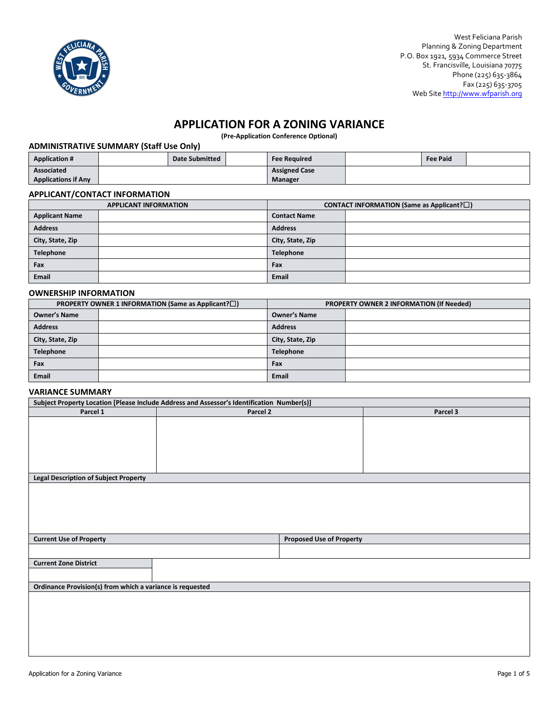

# **APPLICATION FOR A ZONING VARIANCE**

**(Pre-Application Conference Optional)**

## **ADMINISTRATIVE SUMMARY (Staff Use Only)**

| <b>Application #</b>       |  | Date Submitted |                      | <b>Fee Required</b> | <b>Fee Paid</b> |  |
|----------------------------|--|----------------|----------------------|---------------------|-----------------|--|
| <b>Associated</b>          |  |                | <b>Assigned Case</b> |                     |                 |  |
| <b>Applications if Any</b> |  |                |                      | Manager             |                 |  |

## **APPLICANT/CONTACT INFORMATION**

| <b>APPLICANT INFORMATION</b> |  | <b>CONTACT INFORMATION (Same as Applicant?<math>\square</math>)</b> |  |  |
|------------------------------|--|---------------------------------------------------------------------|--|--|
| <b>Applicant Name</b>        |  | <b>Contact Name</b>                                                 |  |  |
| <b>Address</b>               |  | <b>Address</b>                                                      |  |  |
| City, State, Zip             |  | City, State, Zip                                                    |  |  |
| <b>Telephone</b>             |  | <b>Telephone</b>                                                    |  |  |
| Fax                          |  | Fax                                                                 |  |  |
| <b>Email</b>                 |  | <b>Email</b>                                                        |  |  |

### **OWNERSHIP INFORMATION**

| PROPERTY OWNER 1 INFORMATION (Same as Applicant? $\square$ ) |  | <b>PROPERTY OWNER 2 INFORMATION (If Needed)</b> |  |  |
|--------------------------------------------------------------|--|-------------------------------------------------|--|--|
| <b>Owner's Name</b>                                          |  | <b>Owner's Name</b>                             |  |  |
| <b>Address</b>                                               |  | <b>Address</b>                                  |  |  |
| City, State, Zip                                             |  | City, State, Zip                                |  |  |
| Telephone                                                    |  | <b>Telephone</b>                                |  |  |
| Fax                                                          |  | Fax                                             |  |  |
| <b>Email</b>                                                 |  | Email                                           |  |  |

## **VARIANCE SUMMARY**

| Subject Property Location [Please Include Address and Assessor's Identification Number(s)] |          |                                 |          |  |  |  |
|--------------------------------------------------------------------------------------------|----------|---------------------------------|----------|--|--|--|
| Parcel 1                                                                                   | Parcel 2 |                                 | Parcel 3 |  |  |  |
|                                                                                            |          |                                 |          |  |  |  |
|                                                                                            |          |                                 |          |  |  |  |
|                                                                                            |          |                                 |          |  |  |  |
|                                                                                            |          |                                 |          |  |  |  |
|                                                                                            |          |                                 |          |  |  |  |
|                                                                                            |          |                                 |          |  |  |  |
| <b>Legal Description of Subject Property</b>                                               |          |                                 |          |  |  |  |
|                                                                                            |          |                                 |          |  |  |  |
|                                                                                            |          |                                 |          |  |  |  |
|                                                                                            |          |                                 |          |  |  |  |
|                                                                                            |          |                                 |          |  |  |  |
|                                                                                            |          |                                 |          |  |  |  |
| <b>Current Use of Property</b>                                                             |          | <b>Proposed Use of Property</b> |          |  |  |  |
|                                                                                            |          |                                 |          |  |  |  |
| <b>Current Zone District</b>                                                               |          |                                 |          |  |  |  |
|                                                                                            |          |                                 |          |  |  |  |
| Ordinance Provision(s) from which a variance is requested                                  |          |                                 |          |  |  |  |
|                                                                                            |          |                                 |          |  |  |  |
|                                                                                            |          |                                 |          |  |  |  |
|                                                                                            |          |                                 |          |  |  |  |
|                                                                                            |          |                                 |          |  |  |  |
|                                                                                            |          |                                 |          |  |  |  |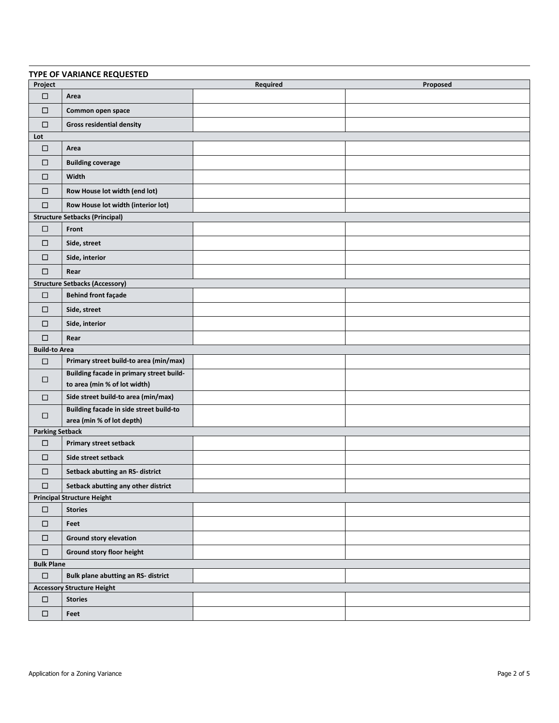| TYPE OF VARIANCE REQUESTED |                                                                          |          |          |  |  |
|----------------------------|--------------------------------------------------------------------------|----------|----------|--|--|
| Project                    |                                                                          | Required | Proposed |  |  |
| $\Box$                     | Area                                                                     |          |          |  |  |
| $\Box$                     | Common open space                                                        |          |          |  |  |
| $\Box$                     | <b>Gross residential density</b>                                         |          |          |  |  |
| Lot                        |                                                                          |          |          |  |  |
| $\Box$                     | Area                                                                     |          |          |  |  |
| $\Box$                     | <b>Building coverage</b>                                                 |          |          |  |  |
| □                          | Width                                                                    |          |          |  |  |
| $\Box$                     | Row House lot width (end lot)                                            |          |          |  |  |
| $\Box$                     | Row House lot width (interior lot)                                       |          |          |  |  |
|                            | <b>Structure Setbacks (Principal)</b>                                    |          |          |  |  |
| $\Box$                     | Front                                                                    |          |          |  |  |
| $\Box$                     | Side, street                                                             |          |          |  |  |
| □                          | Side, interior                                                           |          |          |  |  |
| $\Box$                     | Rear                                                                     |          |          |  |  |
|                            | <b>Structure Setbacks (Accessory)</b>                                    |          |          |  |  |
| $\Box$                     | <b>Behind front façade</b>                                               |          |          |  |  |
| $\Box$                     | Side, street                                                             |          |          |  |  |
| $\Box$                     | Side, interior                                                           |          |          |  |  |
| $\Box$                     | Rear                                                                     |          |          |  |  |
| <b>Build-to Area</b>       |                                                                          |          |          |  |  |
| □                          | Primary street build-to area (min/max)                                   |          |          |  |  |
| $\Box$                     | Building facade in primary street build-<br>to area (min % of lot width) |          |          |  |  |
| $\Box$                     | Side street build-to area (min/max)                                      |          |          |  |  |
| $\Box$                     | Building facade in side street build-to                                  |          |          |  |  |
|                            | area (min % of lot depth)                                                |          |          |  |  |
| <b>Parking Setback</b>     |                                                                          |          |          |  |  |
| $\Box$                     | Primary street setback                                                   |          |          |  |  |
| $\Box$                     | Side street setback                                                      |          |          |  |  |
| $\Box$                     | Setback abutting an RS- district                                         |          |          |  |  |
| $\Box$                     | Setback abutting any other district                                      |          |          |  |  |
|                            | <b>Principal Structure Height</b>                                        |          |          |  |  |
| $\Box$                     | <b>Stories</b>                                                           |          |          |  |  |
| $\Box$                     | Feet                                                                     |          |          |  |  |
| $\Box$                     | Ground story elevation                                                   |          |          |  |  |
| $\Box$                     | Ground story floor height                                                |          |          |  |  |
| <b>Bulk Plane</b>          |                                                                          |          |          |  |  |
| $\Box$                     | <b>Bulk plane abutting an RS- district</b>                               |          |          |  |  |
|                            | <b>Accessory Structure Height</b>                                        |          |          |  |  |
| $\Box$                     | <b>Stories</b>                                                           |          |          |  |  |
| $\Box$                     | Feet                                                                     |          |          |  |  |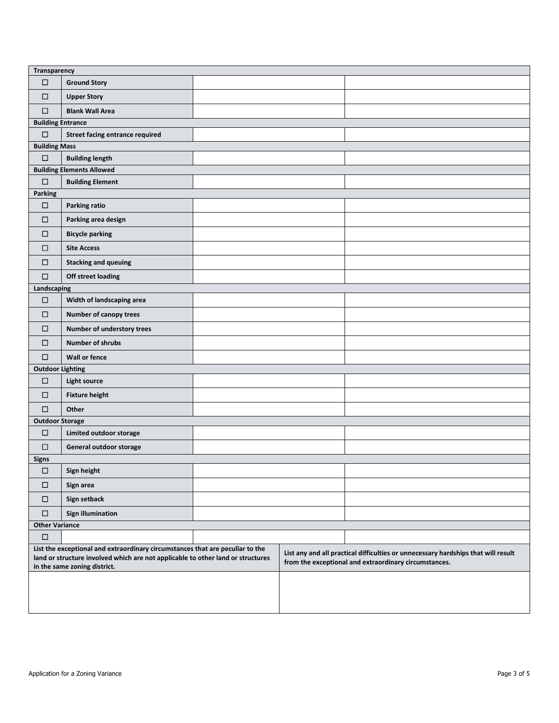| Transparency             |                                                                                                                                                                                                  |  |                                                                                                                                            |
|--------------------------|--------------------------------------------------------------------------------------------------------------------------------------------------------------------------------------------------|--|--------------------------------------------------------------------------------------------------------------------------------------------|
| $\Box$                   | <b>Ground Story</b>                                                                                                                                                                              |  |                                                                                                                                            |
| $\Box$                   | <b>Upper Story</b>                                                                                                                                                                               |  |                                                                                                                                            |
| $\Box$                   | <b>Blank Wall Area</b>                                                                                                                                                                           |  |                                                                                                                                            |
| <b>Building Entrance</b> |                                                                                                                                                                                                  |  |                                                                                                                                            |
| $\Box$                   | <b>Street facing entrance required</b>                                                                                                                                                           |  |                                                                                                                                            |
| <b>Building Mass</b>     |                                                                                                                                                                                                  |  |                                                                                                                                            |
| $\Box$                   | <b>Building length</b>                                                                                                                                                                           |  |                                                                                                                                            |
|                          | <b>Building Elements Allowed</b>                                                                                                                                                                 |  |                                                                                                                                            |
| $\Box$                   | <b>Building Element</b>                                                                                                                                                                          |  |                                                                                                                                            |
| <b>Parking</b>           |                                                                                                                                                                                                  |  |                                                                                                                                            |
| $\Box$                   | Parking ratio                                                                                                                                                                                    |  |                                                                                                                                            |
| $\Box$                   | Parking area design                                                                                                                                                                              |  |                                                                                                                                            |
| $\Box$                   | <b>Bicycle parking</b>                                                                                                                                                                           |  |                                                                                                                                            |
| □                        | <b>Site Access</b>                                                                                                                                                                               |  |                                                                                                                                            |
| □                        | <b>Stacking and queuing</b>                                                                                                                                                                      |  |                                                                                                                                            |
| $\Box$                   | <b>Off street loading</b>                                                                                                                                                                        |  |                                                                                                                                            |
| Landscaping              |                                                                                                                                                                                                  |  |                                                                                                                                            |
| $\Box$                   | Width of landscaping area                                                                                                                                                                        |  |                                                                                                                                            |
| □                        | Number of canopy trees                                                                                                                                                                           |  |                                                                                                                                            |
| $\Box$                   | Number of understory trees                                                                                                                                                                       |  |                                                                                                                                            |
| $\Box$                   | <b>Number of shrubs</b>                                                                                                                                                                          |  |                                                                                                                                            |
| $\Box$                   | <b>Wall or fence</b>                                                                                                                                                                             |  |                                                                                                                                            |
| <b>Outdoor Lighting</b>  |                                                                                                                                                                                                  |  |                                                                                                                                            |
| $\Box$                   | <b>Light source</b>                                                                                                                                                                              |  |                                                                                                                                            |
| $\Box$                   | <b>Fixture height</b>                                                                                                                                                                            |  |                                                                                                                                            |
| $\Box$                   | Other                                                                                                                                                                                            |  |                                                                                                                                            |
| <b>Outdoor Storage</b>   |                                                                                                                                                                                                  |  |                                                                                                                                            |
| $\Box$                   | Limited outdoor storage                                                                                                                                                                          |  |                                                                                                                                            |
| $\Box$                   | General outdoor storage                                                                                                                                                                          |  |                                                                                                                                            |
| <b>Signs</b>             |                                                                                                                                                                                                  |  |                                                                                                                                            |
| □                        | Sign height                                                                                                                                                                                      |  |                                                                                                                                            |
| $\Box$                   | Sign area                                                                                                                                                                                        |  |                                                                                                                                            |
| $\Box$                   | Sign setback                                                                                                                                                                                     |  |                                                                                                                                            |
| $\Box$                   | <b>Sign illumination</b>                                                                                                                                                                         |  |                                                                                                                                            |
| <b>Other Variance</b>    |                                                                                                                                                                                                  |  |                                                                                                                                            |
| □                        |                                                                                                                                                                                                  |  |                                                                                                                                            |
|                          | List the exceptional and extraordinary circumstances that are peculiar to the<br>land or structure involved which are not applicable to other land or structures<br>in the same zoning district. |  | List any and all practical difficulties or unnecessary hardships that will result<br>from the exceptional and extraordinary circumstances. |
|                          |                                                                                                                                                                                                  |  |                                                                                                                                            |
|                          |                                                                                                                                                                                                  |  |                                                                                                                                            |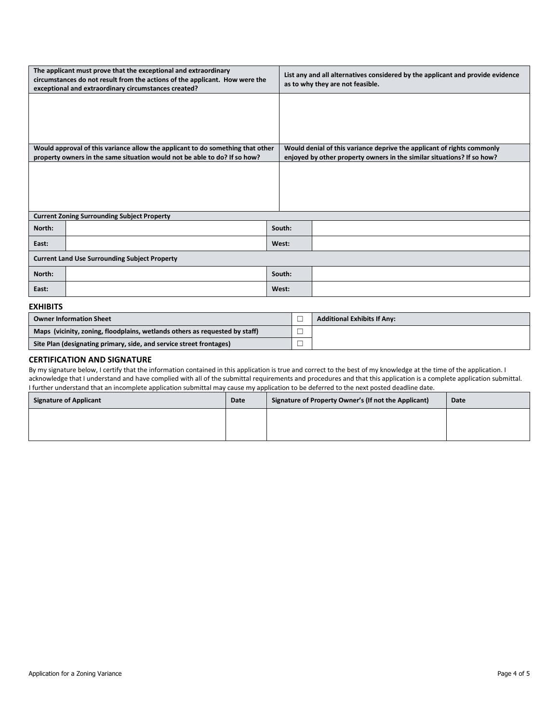| The applicant must prove that the exceptional and extraordinary<br>circumstances do not result from the actions of the applicant. How were the<br>exceptional and extraordinary circumstances created? |        | List any and all alternatives considered by the applicant and provide evidence<br>as to why they are not feasible. |
|--------------------------------------------------------------------------------------------------------------------------------------------------------------------------------------------------------|--------|--------------------------------------------------------------------------------------------------------------------|
|                                                                                                                                                                                                        |        |                                                                                                                    |
|                                                                                                                                                                                                        |        |                                                                                                                    |
|                                                                                                                                                                                                        |        |                                                                                                                    |
| Would approval of this variance allow the applicant to do something that other                                                                                                                         |        | Would denial of this variance deprive the applicant of rights commonly                                             |
| property owners in the same situation would not be able to do? If so how?                                                                                                                              |        | enjoyed by other property owners in the similar situations? If so how?                                             |
|                                                                                                                                                                                                        |        |                                                                                                                    |
|                                                                                                                                                                                                        |        |                                                                                                                    |
|                                                                                                                                                                                                        |        |                                                                                                                    |
|                                                                                                                                                                                                        |        |                                                                                                                    |
|                                                                                                                                                                                                        |        |                                                                                                                    |
| <b>Current Zoning Surrounding Subject Property</b>                                                                                                                                                     |        |                                                                                                                    |
| North:                                                                                                                                                                                                 | South: |                                                                                                                    |
| East:                                                                                                                                                                                                  | West:  |                                                                                                                    |
| <b>Current Land Use Surrounding Subject Property</b>                                                                                                                                                   |        |                                                                                                                    |
| North:                                                                                                                                                                                                 | South: |                                                                                                                    |
| East:                                                                                                                                                                                                  | West:  |                                                                                                                    |

#### **EXHIBITS**

| <b>Owner Information Sheet</b>                                              |        | <b>Additional Exhibits If Any:</b> |
|-----------------------------------------------------------------------------|--------|------------------------------------|
| Maps (vicinity, zoning, floodplains, wetlands others as requested by staff) | 一      |                                    |
| Site Plan (designating primary, side, and service street frontages)         | -<br>_ |                                    |

#### **CERTIFICATION AND SIGNATURE**

By my signature below, I certify that the information contained in this application is true and correct to the best of my knowledge at the time of the application. I acknowledge that I understand and have complied with all of the submittal requirements and procedures and that this application is a complete application submittal. I further understand that an incomplete application submittal may cause my application to be deferred to the next posted deadline date.

| <b>Signature of Applicant</b> | Date | Signature of Property Owner's (If not the Applicant) | Date |
|-------------------------------|------|------------------------------------------------------|------|
|                               |      |                                                      |      |
|                               |      |                                                      |      |